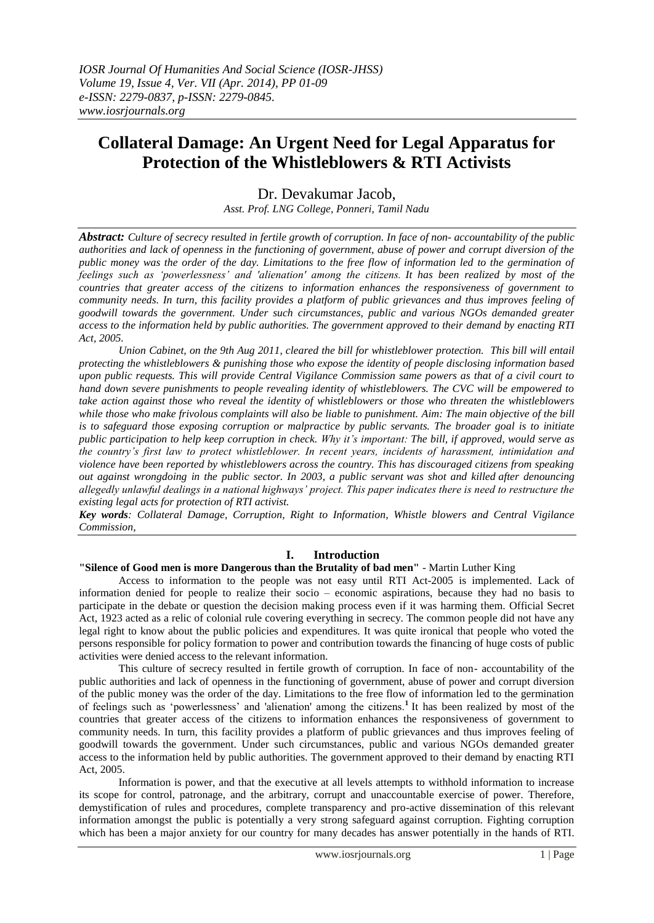# **Collateral Damage: An Urgent Need for Legal Apparatus for Protection of the Whistleblowers & RTI Activists**

## Dr. Devakumar Jacob,

*Asst. Prof. LNG College, Ponneri, Tamil Nadu*

*Abstract: Culture of secrecy resulted in fertile growth of corruption. In face of non- accountability of the public authorities and lack of openness in the functioning of government, abuse of power and corrupt diversion of the public money was the order of the day. Limitations to the free flow of information led to the germination of feelings such as 'powerlessness' and 'alienation' among the citizens. It has been realized by most of the countries that greater access of the citizens to information enhances the responsiveness of government to community needs. In turn, this facility provides a platform of public grievances and thus improves feeling of goodwill towards the government. Under such circumstances, public and various NGOs demanded greater access to the information held by public authorities. The government approved to their demand by enacting RTI Act, 2005.*

*Union Cabinet, on the 9th Aug 2011, cleared the bill for whistleblower protection. This bill will entail protecting the whistleblowers & punishing those who expose the identity of people disclosing information based upon public requests. This will provide Central Vigilance Commission same powers as that of a civil court to hand down severe punishments to people revealing identity of whistleblowers. The CVC will be empowered to take action against those who reveal the identity of whistleblowers or those who threaten the whistleblowers while those who make frivolous complaints will also be liable to punishment. Aim: The main objective of the bill is to safeguard those exposing corruption or malpractice by public servants. The broader goal is to initiate public participation to help keep corruption in check. Why it's important: The bill, if approved, would serve as the country's first law to protect whistleblower. In recent years, incidents of harassment, intimidation and violence have been reported by whistleblowers across the country. This has discouraged citizens from speaking out against wrongdoing in the public sector. In 2003, a public servant [was shot and killed](http://www.thehindu.com/news/national/article315939.ece) after denouncing allegedly unlawful dealings in a national highways' project. This paper indicates there is need to restructure the existing legal acts for protection of RTI activist.* 

*Key words: Collateral Damage, Corruption, Right to Information, Whistle blowers and Central Vigilance Commission,*

## **I. Introduction**

## **"Silence of Good men is more Dangerous than the Brutality of bad men"** - Martin Luther King

Access to information to the people was not easy until RTI Act-2005 is implemented. Lack of information denied for people to realize their socio – economic aspirations, because they had no basis to participate in the debate or question the decision making process even if it was harming them. Official Secret Act, 1923 acted as a relic of colonial rule covering everything in secrecy. The common people did not have any legal right to know about the public policies and expenditures. It was quite ironical that people who voted the persons responsible for policy formation to power and contribution towards the financing of huge costs of public activities were denied access to the relevant information.

This culture of secrecy resulted in fertile growth of corruption. In face of non- accountability of the public authorities and lack of openness in the functioning of government, abuse of power and corrupt diversion of the public money was the order of the day. Limitations to the free flow of information led to the germination of feelings such as "powerlessness" and 'alienation' among the citizens.**<sup>1</sup>** It has been realized by most of the countries that greater access of the citizens to information enhances the responsiveness of government to community needs. In turn, this facility provides a platform of public grievances and thus improves feeling of goodwill towards the government. Under such circumstances, public and various NGOs demanded greater access to the information held by public authorities. The government approved to their demand by enacting RTI Act, 2005.

Information is power, and that the executive at all levels attempts to withhold information to increase its scope for control, patronage, and the arbitrary, corrupt and unaccountable exercise of power. Therefore, demystification of rules and procedures, complete transparency and pro-active dissemination of this relevant information amongst the public is potentially a very strong safeguard against corruption. Fighting corruption which has been a major anxiety for our country for many decades has answer potentially in the hands of RTI.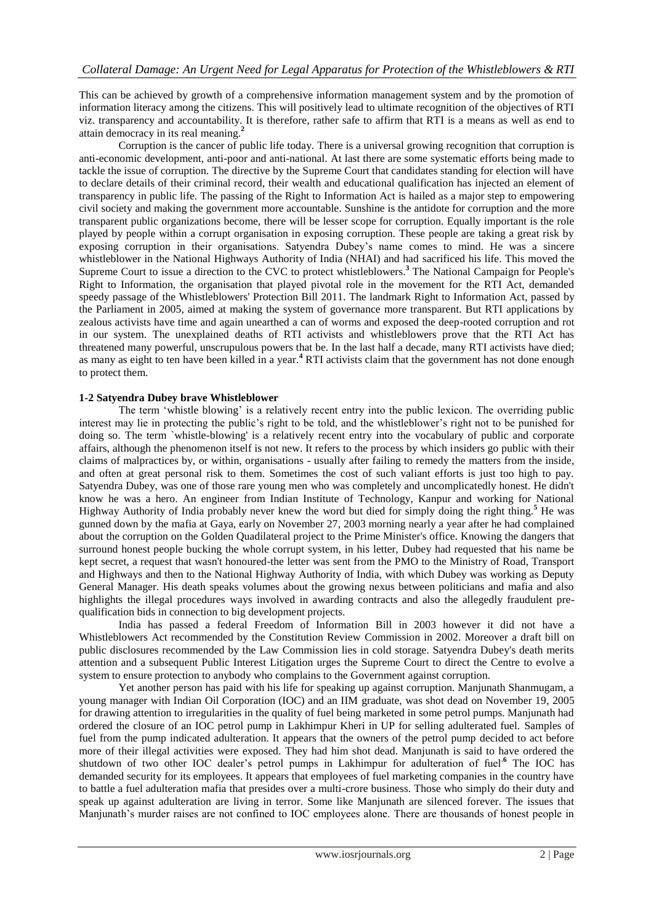This can be achieved by growth of a comprehensive information management system and by the promotion of information literacy among the citizens. This will positively lead to ultimate recognition of the objectives of RTI viz. transparency and accountability. It is therefore, rather safe to affirm that RTI is a means as well as end to attain democracy in its real meaning.**<sup>2</sup>**

Corruption is the cancer of public life today. There is a universal growing recognition that corruption is anti-economic development, anti-poor and anti-national. At last there are some systematic efforts being made to tackle the issue of corruption. The directive by the Supreme Court that candidates standing for election will have to declare details of their criminal record, their wealth and educational qualification has injected an element of transparency in public life. The passing of the Right to Information Act is hailed as a major step to empowering civil society and making the government more accountable. Sunshine is the antidote for corruption and the more transparent public organizations become, there will be lesser scope for corruption. Equally important is the role played by people within a corrupt organisation in exposing corruption. These people are taking a great risk by exposing corruption in their organisations. Satyendra Dubey"s name comes to mind. He was a sincere whistleblower in the National Highways Authority of India (NHAI) and had sacrificed his life. This moved the Supreme Court to issue a direction to the CVC to protect whistleblowers.**<sup>3</sup>** The National Campaign for People's Right to Information, the organisation that played pivotal role in the movement for the RTI Act, demanded speedy passage of the Whistleblowers' Protection Bill 2011. The landmark Right to Information Act, passed by the Parliament in 2005, aimed at making the system of governance more transparent. But RTI applications by zealous activists have time and again unearthed a can of worms and exposed the deep-rooted corruption and rot in our system. The unexplained deaths of RTI activists and whistleblowers prove that the RTI Act has threatened many powerful, unscrupulous powers that be. In the last half a decade, many RTI activists have died; as many as eight to ten have been killed in a year.**<sup>4</sup>** RTI activists claim that the government has not done enough to protect them.

## **1-2 Satyendra Dubey brave Whistleblower**

The term "whistle blowing" is a relatively recent entry into the public lexicon. The overriding public interest may lie in protecting the public"s right to be told, and the whistleblower"s right not to be punished for doing so. The term `whistle-blowing' is a relatively recent entry into the vocabulary of public and corporate affairs, although the phenomenon itself is not new. It refers to the process by which insiders go public with their claims of malpractices by, or within, organisations - usually after failing to remedy the matters from the inside, and often at great personal risk to them. Sometimes the cost of such valiant efforts is just too high to pay. Satyendra Dubey, was one of those rare young men who was completely and uncomplicatedly honest. He didn't know he was a hero. An engineer from Indian Institute of Technology, Kanpur and working for National Highway Authority of India probably never knew the word but died for simply doing the right thing.**<sup>5</sup>** He was gunned down by the mafia at Gaya, early on November 27, 2003 morning nearly a year after he had complained about the corruption on the Golden Quadilateral project to the Prime Minister's office. Knowing the dangers that surround honest people bucking the whole corrupt system, in his letter, Dubey had requested that his name be kept secret, a request that wasn't honoured-the letter was sent from the PMO to the Ministry of Road, Transport and Highways and then to the National Highway Authority of India, with which Dubey was working as Deputy General Manager. His death speaks volumes about the growing nexus between politicians and mafia and also highlights the illegal procedures ways involved in awarding contracts and also the allegedly fraudulent prequalification bids in connection to big development projects.

India has passed a federal Freedom of Information Bill in 2003 however it did not have a Whistleblowers Act recommended by the Constitution Review Commission in 2002. Moreover a draft bill on public disclosures recommended by the Law Commission lies in cold storage. Satyendra Dubey's death merits attention and a subsequent Public Interest Litigation urges the Supreme Court to direct the Centre to evolve a system to ensure protection to anybody who complains to the Government against corruption.

Yet another person has paid with his life for speaking up against corruption. Manjunath Shanmugam, a young manager with Indian Oil Corporation (IOC) and an IIM graduate, was shot dead on November 19, 2005 for drawing attention to irregularities in the quality of fuel being marketed in some petrol pumps. Manjunath had ordered the closure of an IOC petrol pump in Lakhimpur Kheri in UP for selling adulterated fuel. Samples of fuel from the pump indicated adulteration. It appears that the owners of the petrol pump decided to act before more of their illegal activities were exposed. They had him shot dead. Manjunath is said to have ordered the shutdown of two other IOC dealer's petrol pumps in Lakhimpur for adulteration of fuel<sup>6</sup> The IOC has demanded security for its employees. It appears that employees of fuel marketing companies in the country have to battle a fuel adulteration mafia that presides over a multi-crore business. Those who simply do their duty and speak up against adulteration are living in terror. Some like Manjunath are silenced forever. The issues that Manjunath's murder raises are not confined to IOC employees alone. There are thousands of honest people in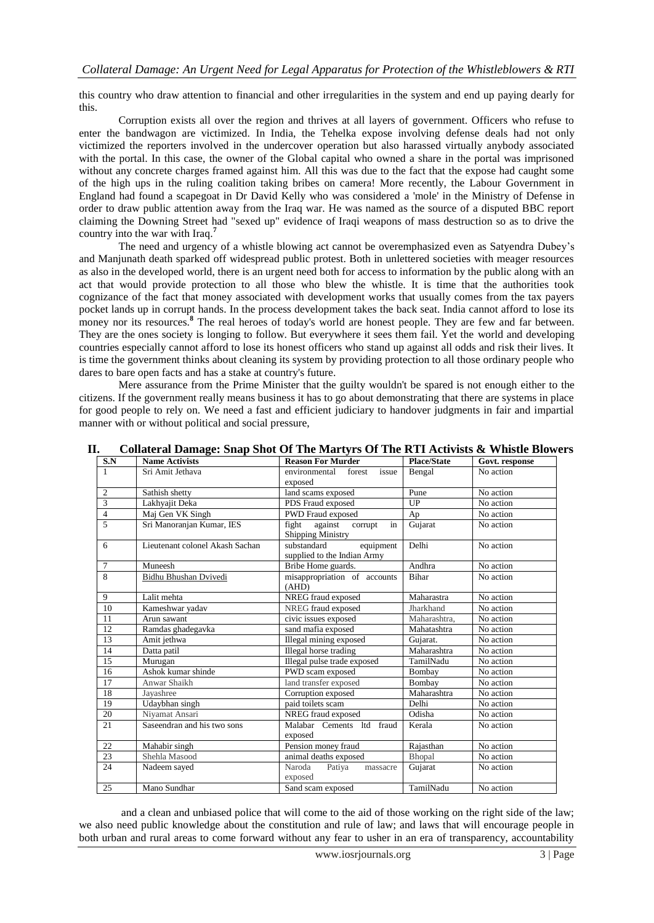this country who draw attention to financial and other irregularities in the system and end up paying dearly for this.

Corruption exists all over the region and thrives at all layers of government. Officers who refuse to enter the bandwagon are victimized. In India, the Tehelka expose involving defense deals had not only victimized the reporters involved in the undercover operation but also harassed virtually anybody associated with the portal. In this case, the owner of the Global capital who owned a share in the portal was imprisoned without any concrete charges framed against him. All this was due to the fact that the expose had caught some of the high ups in the ruling coalition taking bribes on camera! More recently, the Labour Government in England had found a scapegoat in Dr David Kelly who was considered a 'mole' in the Ministry of Defense in order to draw public attention away from the Iraq war. He was named as the source of a disputed BBC report claiming the Downing Street had "sexed up" evidence of Iraqi weapons of mass destruction so as to drive the country into the war with Iraq.**<sup>7</sup>**

The need and urgency of a whistle blowing act cannot be overemphasized even as Satyendra Dubey"s and Manjunath death sparked off widespread public protest. Both in unlettered societies with meager resources as also in the developed world, there is an urgent need both for access to information by the public along with an act that would provide protection to all those who blew the whistle. It is time that the authorities took cognizance of the fact that money associated with development works that usually comes from the tax payers pocket lands up in corrupt hands. In the process development takes the back seat. India cannot afford to lose its money nor its resources.<sup>8</sup> The real heroes of today's world are honest people. They are few and far between. They are the ones society is longing to follow. But everywhere it sees them fail. Yet the world and developing countries especially cannot afford to lose its honest officers who stand up against all odds and risk their lives. It is time the government thinks about cleaning its system by providing protection to all those ordinary people who dares to bare open facts and has a stake at country's future.

Mere assurance from the Prime Minister that the guilty wouldn't be spared is not enough either to the citizens. If the government really means business it has to go about demonstrating that there are systems in place for good people to rely on. We need a fast and efficient judiciary to handover judgments in fair and impartial manner with or without political and social pressure,

| S.N                     | <b>Name Activists</b>           | <b>Reason For Murder</b>                                   | <b>Place/State</b> | Govt. response |
|-------------------------|---------------------------------|------------------------------------------------------------|--------------------|----------------|
| $\mathbf{1}$            | Sri Amit Jethava                | environmental<br>issue<br>forest<br>exposed                | Bengal             | No action      |
| $\overline{2}$          | Sathish shetty                  | land scams exposed                                         | Pune               | No action      |
| $\overline{\mathbf{3}}$ | Lakhyajit Deka                  | PDS Fraud exposed                                          | UP                 | No action      |
| $\overline{4}$          | Maj Gen VK Singh                | <b>PWD Fraud exposed</b>                                   | Ap                 | No action      |
| 5                       | Sri Manoranjan Kumar, IES       | against corrupt<br>fight<br>in<br><b>Shipping Ministry</b> | Gujarat            | No action      |
| 6                       | Lieutenant colonel Akash Sachan | substandard<br>equipment<br>supplied to the Indian Army    | Delhi              | No action      |
| $\overline{7}$          | Muneesh                         | Bribe Home guards.                                         | Andhra             | No action      |
| 8                       | Bidhu Bhushan Dvivedi           | misappropriation of accounts<br>(AHD)                      | <b>Bihar</b>       | No action      |
| 9                       | Lalit mehta                     | NREG fraud exposed                                         | Maharastra         | No action      |
| 10                      | Kameshwar yadav                 | NREG fraud exposed                                         | Jharkhand          | No action      |
| 11                      | Arun sawant                     | civic issues exposed                                       | Maharashtra,       | No action      |
| 12                      | Ramdas ghadegavka               | sand mafia exposed                                         | Mahatashtra        | No action      |
| 13                      | Amit jethwa                     | Illegal mining exposed                                     | Gujarat.           | No action      |
| 14                      | Datta patil                     | Illegal horse trading                                      | Maharashtra        | No action      |
| 15                      | Murugan                         | Illegal pulse trade exposed                                | TamilNadu          | No action      |
| 16                      | Ashok kumar shinde              | PWD scam exposed                                           | Bombay             | No action      |
| 17                      | Anwar Shaikh                    | land transfer exposed                                      | Bombay             | No action      |
| 18                      | Jayashree                       | Corruption exposed                                         | Maharashtra        | No action      |
| 19                      | Udaybhan singh                  | paid toilets scam                                          | Delhi              | No action      |
| 20                      | Niyamat Ansari                  | NREG fraud exposed                                         | Odisha             | No action      |
| 21                      | Saseendran and his two sons     | Malabar Cements ltd fraud<br>exposed                       | Kerala             | No action      |
| 22                      | Mahabir singh                   | Pension money fraud                                        | Rajasthan          | No action      |
| 23                      | Shehla Masood                   | animal deaths exposed                                      | Bhopal             | No action      |
| 24                      | Nadeem sayed                    | Naroda<br>Patiya<br>massacre<br>exposed                    | Gujarat            | No action      |
| 25                      | Mano Sundhar                    | Sand scam exposed                                          | TamilNadu          | No action      |

## **II. Collateral Damage: Snap Shot Of The Martyrs Of The RTI Activists & Whistle Blowers**

and a clean and unbiased police that will come to the aid of those working on the right side of the law; we also need public knowledge about the constitution and rule of law; and laws that will encourage people in both urban and rural areas to come forward without any fear to usher in an era of transparency, accountability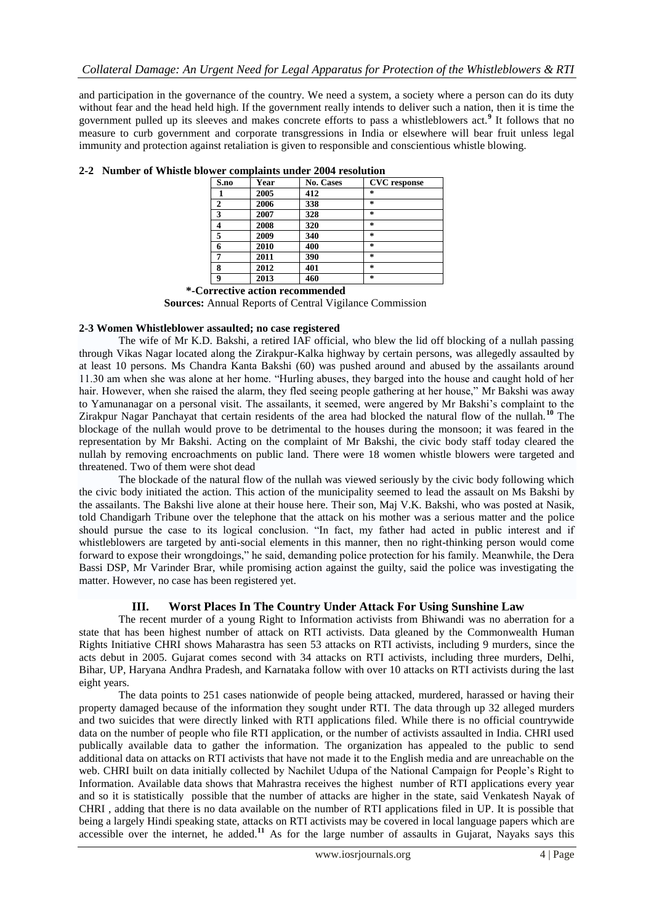and participation in the governance of the country. We need a system, a society where a person can do its duty without fear and the head held high. If the government really intends to deliver such a nation, then it is time the government pulled up its sleeves and makes concrete efforts to pass a whistleblowers act.**<sup>9</sup>** It follows that no measure to curb government and corporate transgressions in India or elsewhere will bear fruit unless legal immunity and protection against retaliation is given to responsible and conscientious whistle blowing.

| S.no | Year | <b>No. Cases</b> | <b>CVC</b> response |
|------|------|------------------|---------------------|
|      | 2005 | 412              | $\star$             |
| 2    | 2006 | 338              | $\star$             |
| 3    | 2007 | 328              | $\star$             |
| 4    | 2008 | 320              | $\star$             |
| 5    | 2009 | 340              | $\star$             |
| 6    | 2010 | 400              | $\star$             |
| 7    | 2011 | 390              | $\star$             |
| 8    | 2012 | 401              | $\star$             |
| 9    | 2013 | 460              | $\star$             |

## **2-2 Number of Whistle blower complaints under 2004 resolution**

## **2-3 Women Whistleblower assaulted; no case registered**

The wife of Mr K.D. Bakshi, a retired IAF official, who blew the lid off blocking of a nullah passing through Vikas Nagar located along the Zirakpur-Kalka highway by certain persons, was allegedly assaulted by at least 10 persons. Ms Chandra Kanta Bakshi (60) was pushed around and abused by the assailants around 11.30 am when she was alone at her home. "Hurling abuses, they barged into the house and caught hold of her hair. However, when she raised the alarm, they fled seeing people gathering at her house," Mr Bakshi was away to Yamunanagar on a personal visit. The assailants, it seemed, were angered by Mr Bakshi"s complaint to the Zirakpur Nagar Panchayat that certain residents of the area had blocked the natural flow of the nullah.**<sup>10</sup>** The blockage of the nullah would prove to be detrimental to the houses during the monsoon; it was feared in the representation by Mr Bakshi. Acting on the complaint of Mr Bakshi, the civic body staff today cleared the nullah by removing encroachments on public land. There were 18 women whistle blowers were targeted and threatened. Two of them were shot dead

The blockade of the natural flow of the nullah was viewed seriously by the civic body following which the civic body initiated the action. This action of the municipality seemed to lead the assault on Ms Bakshi by the assailants. The Bakshi live alone at their house here. Their son, Maj V.K. Bakshi, who was posted at Nasik, told Chandigarh Tribune over the telephone that the attack on his mother was a serious matter and the police should pursue the case to its logical conclusion. "In fact, my father had acted in public interest and if whistleblowers are targeted by anti-social elements in this manner, then no right-thinking person would come forward to expose their wrongdoings," he said, demanding police protection for his family. Meanwhile, the Dera Bassi DSP, Mr Varinder Brar, while promising action against the guilty, said the police was investigating the matter. However, no case has been registered yet.

## **III. Worst Places In The Country Under Attack For Using Sunshine Law**

The recent murder of a young Right to Information activists from Bhiwandi was no aberration for a state that has been highest number of attack on RTI activists. Data gleaned by the Commonwealth Human Rights Initiative CHRI shows Maharastra has seen 53 attacks on RTI activists, including 9 murders, since the acts debut in 2005. Gujarat comes second with 34 attacks on RTI activists, including three murders, Delhi, Bihar, UP, Haryana Andhra Pradesh, and Karnataka follow with over 10 attacks on RTI activists during the last eight years.

The data points to 251 cases nationwide of people being attacked, murdered, harassed or having their property damaged because of the information they sought under RTI. The data through up 32 alleged murders and two suicides that were directly linked with RTI applications filed. While there is no official countrywide data on the number of people who file RTI application, or the number of activists assaulted in India. CHRI used publically available data to gather the information. The organization has appealed to the public to send additional data on attacks on RTI activists that have not made it to the English media and are unreachable on the web. CHRI built on data initially collected by Nachilet Udupa of the National Campaign for People"s Right to Information. Available data shows that Mahrastra receives the highest number of RTI applications every year and so it is statistically possible that the number of attacks are higher in the state, said Venkatesh Nayak of CHRI , adding that there is no data available on the number of RTI applications filed in UP. It is possible that being a largely Hindi speaking state, attacks on RTI activists may be covered in local language papers which are accessible over the internet, he added.<sup>11</sup> As for the large number of assaults in Gujarat, Nayaks says this

 **<sup>\*-</sup>Corrective action recommended Sources:** Annual Reports of Central Vigilance Commission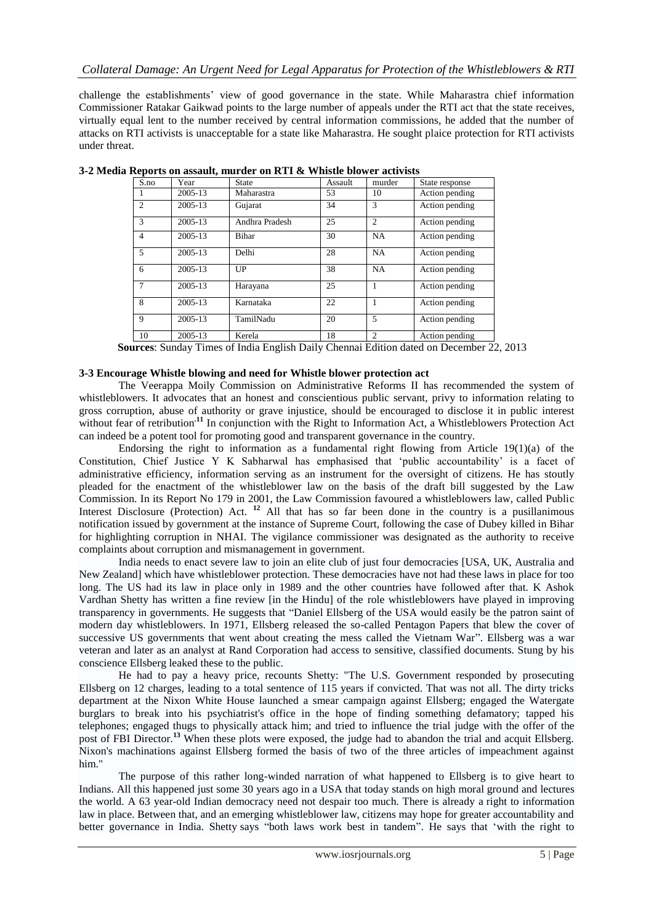challenge the establishments" view of good governance in the state. While Maharastra chief information Commissioner Ratakar Gaikwad points to the large number of appeals under the RTI act that the state receives, virtually equal lent to the number received by central information commissions, he added that the number of attacks on RTI activists is unacceptable for a state like Maharastra. He sought plaice protection for RTI activists under threat.

| S.no           | Year    | <b>State</b>   | Assault | murder         | State response |
|----------------|---------|----------------|---------|----------------|----------------|
|                | 2005-13 | Maharastra     | 53      | 10             | Action pending |
| $\overline{2}$ | 2005-13 | Gujarat        | 34      | 3              | Action pending |
| $\mathcal{R}$  | 2005-13 | Andhra Pradesh | 25      | $\overline{2}$ | Action pending |
| $\overline{4}$ | 2005-13 | <b>Bihar</b>   | 30      | <b>NA</b>      | Action pending |
| 5              | 2005-13 | Delhi          | 28      | <b>NA</b>      | Action pending |
| 6              | 2005-13 | UP             | 38      | <b>NA</b>      | Action pending |
| 7              | 2005-13 | Harayana       | 25      | 1              | Action pending |
| 8              | 2005-13 | Karnataka      | 22      |                | Action pending |
| 9              | 2005-13 | TamilNadu      | 20      | 5              | Action pending |
| 10             | 2005-13 | Kerela         | 18      | $\overline{c}$ | Action pending |

**3-2 Media Reports on assault, murder on RTI & Whistle blower activists**

**Sources**: Sunday Times of India English Daily Chennai Edition dated on December 22, 2013

## **3-3 Encourage Whistle blowing and need for Whistle blower protection act**

The Veerappa Moily Commission on Administrative Reforms II has recommended the system of whistleblowers. It advocates that an honest and conscientious public servant, privy to information relating to gross corruption, abuse of authority or grave injustice, should be encouraged to disclose it in public interest without fear of retribution<sup>11</sup> In conjunction with the Right to Information Act, a Whistleblowers Protection Act can indeed be a potent tool for promoting good and transparent governance in the country.

Endorsing the right to information as a fundamental right flowing from Article  $19(1)(a)$  of the Constitution, Chief Justice Y K Sabharwal has emphasised that "public accountability" is a facet of administrative efficiency, information serving as an instrument for the oversight of citizens. He has stoutly pleaded for the enactment of the whistleblower law on the basis of the draft bill suggested by the Law Commission. In its Report No 179 in 2001, the Law Commission favoured a whistleblowers law, called Public Interest Disclosure (Protection) Act. <sup>12</sup> All that has so far been done in the country is a pusillanimous notification issued by government at the instance of Supreme Court, following the case of Dubey killed in Bihar for highlighting corruption in NHAI. The vigilance commissioner was designated as the authority to receive complaints about corruption and mismanagement in government.

India needs to enact severe law to join an elite club of just four democracies [USA, UK, Australia and New Zealand] which have whistleblower protection. These democracies have not had these laws in place for too long. The US had its law in place only in 1989 and the other countries have followed after that. K Ashok Vardhan Shetty has written a fine review [in the Hindu] of the role whistleblowers have played in improving transparency in governments. He suggests that "Daniel Ellsberg of the USA would easily be the patron saint of modern day whistleblowers. In 1971, Ellsberg released the so-called Pentagon Papers that blew the cover of successive US governments that went about creating the mess called the Vietnam War". Ellsberg was a war veteran and later as an analyst at Rand Corporation had access to sensitive, classified documents. Stung by his conscience Ellsberg leaked these to the public.

He had to pay a heavy price, recounts Shetty: "The U.S. Government responded by prosecuting Ellsberg on 12 charges, leading to a total sentence of 115 years if convicted. That was not all. The dirty tricks department at the Nixon White House launched a smear campaign against Ellsberg; engaged the Watergate burglars to break into his psychiatrist's office in the hope of finding something defamatory; tapped his telephones; engaged thugs to physically attack him; and tried to influence the trial judge with the offer of the post of FBI Director.**<sup>13</sup>** When these plots were exposed, the judge had to abandon the trial and acquit Ellsberg. Nixon's machinations against Ellsberg formed the basis of two of the three articles of impeachment against him."

 The purpose of this rather long-winded narration of what happened to Ellsberg is to give heart to Indians. All this happened just some 30 years ago in a USA that today stands on high moral ground and lectures the world. A 63 year-old Indian democracy need not despair too much. There is already a [right to information](http://rrtd.nic.in/RIGHT%20TO%20INFORMATION.html)  [law](http://rrtd.nic.in/RIGHT%20TO%20INFORMATION.html) in place. Between that, and an emerging whistleblower law, citizens may hope for greater accountability and better governance in India. Shetty says "both laws work best in tandem". He says that "with the right to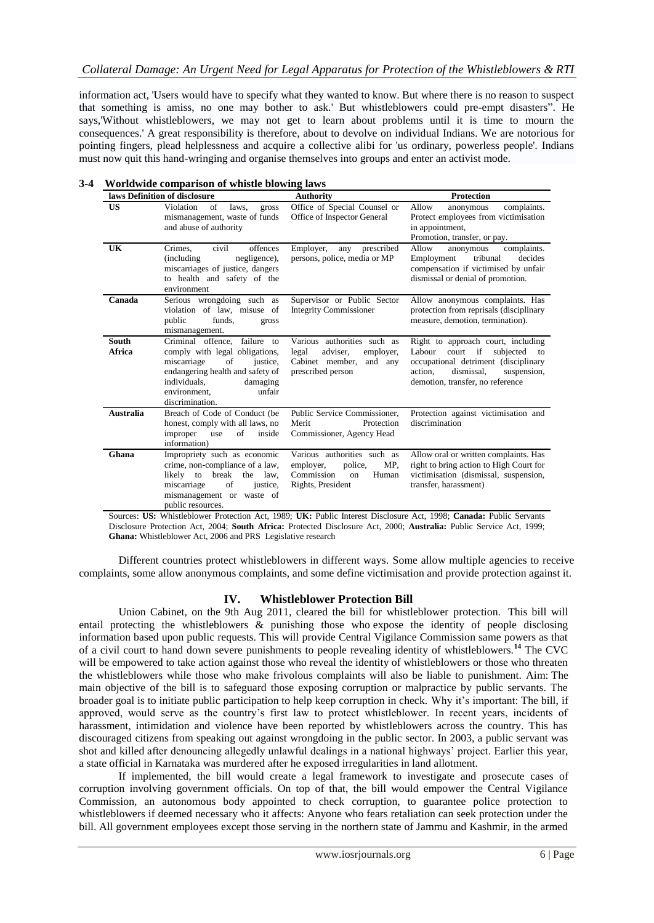information act, 'Users would have to specify what they wanted to know. But where there is no reason to suspect that something is amiss, no one may bother to ask.' But whistleblowers could pre-empt disasters". He says,'Without whistleblowers, we may not get to learn about problems until it is time to mourn the consequences.' A great responsibility is therefore, about to devolve on individual Indians. We are notorious for pointing fingers, plead helplessness and acquire a collective alibi for 'us ordinary, powerless people'. Indians must now quit this hand-wringing and organise themselves into groups and enter an activist mode.

|                        | laws Definition of disclosure                                                                                                                                                                                | <b>Authority</b>                                                                                              | Protection                                                                                                                                                                             |  |
|------------------------|--------------------------------------------------------------------------------------------------------------------------------------------------------------------------------------------------------------|---------------------------------------------------------------------------------------------------------------|----------------------------------------------------------------------------------------------------------------------------------------------------------------------------------------|--|
| <b>US</b>              | Violation<br>of<br>laws,<br>gross<br>mismanagement, waste of funds<br>and abuse of authority                                                                                                                 | Office of Special Counsel or<br>Office of Inspector General                                                   | Allow<br>complaints.<br>anonymous<br>Protect employees from victimisation<br>in appointment,<br>Promotion, transfer, or pay.                                                           |  |
| UK                     | offences<br>civil<br>Crimes.<br>(including)<br>negligence),<br>miscarriages of justice, dangers<br>to health and safety of the<br>environment                                                                | Employer,<br>prescribed<br>any<br>persons, police, media or MP                                                | complaints.<br>Allow<br>anonymous<br>Employment<br>tribunal<br>decides<br>compensation if victimised by unfair<br>dismissal or denial of promotion.                                    |  |
| Canada                 | Serious wrongdoing such as<br>violation of law, misuse of<br>funds,<br>public<br>gross<br>mismanagement.                                                                                                     | Supervisor or Public Sector<br><b>Integrity Commissioner</b>                                                  | Allow anonymous complaints. Has<br>protection from reprisals (disciplinary<br>measure, demotion, termination).                                                                         |  |
| <b>South</b><br>Africa | Criminal offence, failure to<br>comply with legal obligations,<br>miscarriage<br>of<br>justice,<br>endangering health and safety of<br>individuals.<br>damaging<br>unfair<br>environment,<br>discrimination. | Various authorities such as<br>adviser,<br>legal<br>employer,<br>Cabinet member, and any<br>prescribed person | Right to approach court, including<br>Labour court if subjected to<br>occupational detriment (disciplinary<br>dismissal,<br>action,<br>suspension,<br>demotion, transfer, no reference |  |
| Australia              | Breach of Code of Conduct (be<br>honest, comply with all laws, no<br>improper use<br>of<br>inside<br>information)                                                                                            | Public Service Commissioner,<br>Merit<br>Protection<br>Commissioner, Agency Head                              | Protection against victimisation and<br>discrimination                                                                                                                                 |  |
| Ghana                  | Impropriety such as economic<br>crime, non-compliance of a law,<br>likely to break the law,<br>of<br>miscarriage<br>justice,<br>mismanagement or waste of<br>public resources.                               | Various authorities such as<br>MP.<br>employer,<br>police,<br>Commission<br>Human<br>on<br>Rights, President  | Allow oral or written complaints. Has<br>right to bring action to High Court for<br>victimisation (dismissal, suspension,<br>transfer, harassment)                                     |  |

#### **3-4 Worldwide comparison of whistle blowing laws**

Sources: **US:** Whistleblower Protection Act, 1989; **UK:** Public Interest Disclosure Act, 1998; **Canada:** Public Servants Disclosure Protection Act, 2004; **South Africa:** Protected Disclosure Act, 2000; **Australia:** Public Service Act, 1999; **Ghana:** Whistleblower Act, 2006 and PRS Legislative research

Different countries protect whistleblowers in different ways. Some allow multiple agencies to receive complaints, some allow anonymous complaints, and some define victimisation and provide protection against it.

## **IV. Whistleblower Protection Bill**

Union Cabinet, on the 9th Aug 2011, cleared the bill for whistleblower protection. This bill will entail protecting the whistleblowers  $\&$  punishing those who expose the identity of people disclosing information based upon public requests. This will provide Central Vigilance Commission same powers as that of a civil court to hand down severe punishments to people revealing identity of whistleblowers.**<sup>14</sup>** The CVC will be empowered to take action against those who reveal the identity of whistleblowers or those who threaten the whistleblowers while those who make frivolous complaints will also be liable to punishment. Aim: The main objective of the bill is to safeguard those exposing corruption or malpractice by public servants. The broader goal is to initiate public participation to help keep corruption in check. Why it"s important: The bill, if approved, would serve as the country"s first law to protect whistleblower. In recent years, incidents of harassment, intimidation and violence have been reported by whistleblowers across the country. This has discouraged citizens from speaking out against wrongdoing in the public sector. In 2003, a public servant [was](http://www.thehindu.com/news/national/article315939.ece)  [shot and killed](http://www.thehindu.com/news/national/article315939.ece) after denouncing allegedly unlawful dealings in a national highways" project. Earlier this year, a state official in Karnataka [was murdered](http://www.thehindu.com/news/states/karnataka/article3438966.ece) after he exposed irregularities in land allotment.

If implemented, the bill would create a legal framework to investigate and prosecute cases of corruption involving government officials. On top of that, the bill would empower the Central Vigilance Commission, an autonomous body appointed to check corruption, to guarantee police protection to whistleblowers if deemed necessary who it affects: Anyone who fears retaliation can seek protection under the bill. All government employees except those serving in the northern state of Jammu and Kashmir, in the armed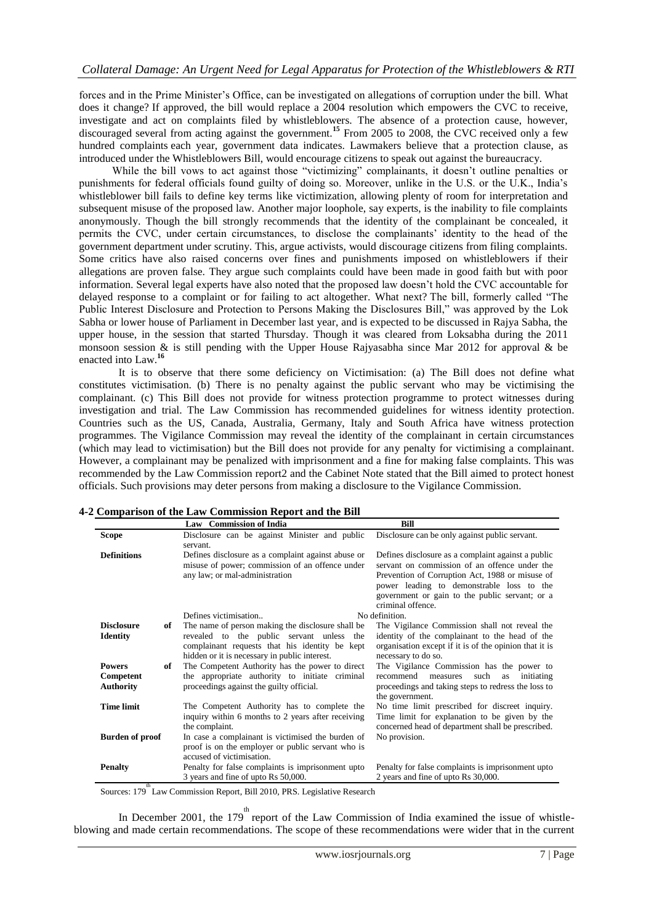forces and in the Prime Minister"s Office, can be investigated on allegations of corruption under the bill. What does it change? If approved, the bill would replace a 2004 resolution which empowers the CVC to receive, investigate and act on complaints filed by whistleblowers. The absence of a protection cause, however, discouraged several from acting against the government.**<sup>15</sup>** From 2005 to 2008, the CVC [received only a few](http://www.prsindia.org/uploads/media/Public%20Disclosure/Legislative%20Brief%20-%20Public%20Interest%20Disclosure%20Bil.pdf)  [hundred complaints](http://www.prsindia.org/uploads/media/Public%20Disclosure/Legislative%20Brief%20-%20Public%20Interest%20Disclosure%20Bil.pdf) each year, government data indicates. Lawmakers believe that a protection clause, as introduced under the Whistleblowers Bill, would encourage citizens to speak out against the bureaucracy.

While the bill vows to act against those "victimizing" complainants, it doesn't outline penalties or punishments for federal officials found guilty of doing so. Moreover, unlike in the U.S. or the U.K., India"s whistleblower bill fails to define key terms like victimization, allowing plenty of room for interpretation and subsequent misuse of the proposed law. Another major loophole, say experts, is the inability to file complaints anonymously. Though the bill strongly recommends that the identity of the complainant be concealed, it permits the CVC, under certain circumstances, to disclose the complainants" identity to the head of the government department under scrutiny. This, argue activists, would discourage citizens from filing complaints. Some critics have also raised concerns over fines and punishments imposed on whistleblowers if their allegations are proven false. They argue such complaints could have been made in good faith but with poor information. Several legal experts have also noted that the proposed law doesn"t hold the CVC accountable for delayed response to a complaint or for failing to act altogether. What next? The bill, formerly called "The Public Interest Disclosure and Protection to Persons Making the Disclosures Bill," was approved by the Lok Sabha or lower house of Parliament in December last year, and is expected to be discussed in Rajya Sabha, the upper house, in the session that started Thursday. Though it was cleared from Loksabha during the 2011 monsoon session  $\&$  is still pending with the Upper House Rajyasabha since Mar 2012 for approval  $\&$  be enacted into Law.**<sup>16</sup>**

It is to observe that there some deficiency on Victimisation: (a) The Bill does not define what constitutes victimisation. (b) There is no penalty against the public servant who may be victimising the complainant. (c) This Bill does not provide for witness protection programme to protect witnesses during investigation and trial. The Law Commission has recommended guidelines for witness identity protection. Countries such as the US, Canada, Australia, Germany, Italy and South Africa have witness protection programmes. The Vigilance Commission may reveal the identity of the complainant in certain circumstances (which may lead to victimisation) but the Bill does not provide for any penalty for victimising a complainant. However, a complainant may be penalized with imprisonment and a fine for making false complaints. This was recommended by the Law Commission report2 and the Cabinet Note stated that the Bill aimed to protect honest officials. Such provisions may deter persons from making a disclosure to the Vigilance Commission.

|                                                      | <b>Law</b> Commission of India                                                                                                                                                                    | Bill                                                                                                                                                                                                                                                                       |
|------------------------------------------------------|---------------------------------------------------------------------------------------------------------------------------------------------------------------------------------------------------|----------------------------------------------------------------------------------------------------------------------------------------------------------------------------------------------------------------------------------------------------------------------------|
| <b>Scope</b>                                         | Disclosure can be against Minister and public<br>servant.                                                                                                                                         | Disclosure can be only against public servant.                                                                                                                                                                                                                             |
| <b>Definitions</b>                                   | Defines disclosure as a complaint against abuse or<br>misuse of power; commission of an offence under<br>any law; or mal-administration                                                           | Defines disclosure as a complaint against a public<br>servant on commission of an offence under the<br>Prevention of Corruption Act, 1988 or misuse of<br>power leading to demonstrable loss to the<br>government or gain to the public servant; or a<br>criminal offence. |
|                                                      | Defines victimisation                                                                                                                                                                             | No definition.                                                                                                                                                                                                                                                             |
| <b>Disclosure</b><br>of<br><b>Identity</b>           | The name of person making the disclosure shall be<br>revealed to the public servant unless the<br>complainant requests that his identity be kept<br>hidden or it is necessary in public interest. | The Vigilance Commission shall not reveal the<br>identity of the complainant to the head of the<br>organisation except if it is of the opinion that it is<br>necessary to do so.                                                                                           |
| <b>Powers</b><br>of<br>Competent<br><b>Authority</b> | The Competent Authority has the power to direct<br>the appropriate authority to initiate criminal<br>proceedings against the guilty official.                                                     | The Vigilance Commission has the power to<br>recommend<br>measures<br>such<br>initiating<br>as<br>proceedings and taking steps to redress the loss to<br>the government.                                                                                                   |
| <b>Time limit</b>                                    | The Competent Authority has to complete the<br>inquiry within 6 months to 2 years after receiving<br>the complaint.                                                                               | No time limit prescribed for discreet inquiry.<br>Time limit for explanation to be given by the<br>concerned head of department shall be prescribed.                                                                                                                       |
| <b>Burden of proof</b>                               | In case a complainant is victimised the burden of<br>proof is on the employer or public servant who is<br>accused of victimisation.                                                               | No provision.                                                                                                                                                                                                                                                              |
| <b>Penalty</b>                                       | Penalty for false complaints is imprisonment upto<br>3 years and fine of upto Rs 50,000.                                                                                                          | Penalty for false complaints is imprisonment upto<br>2 years and fine of upto Rs 30,000.                                                                                                                                                                                   |

## **4-2 Comparison of the Law Commission Report and the Bill**

Sources: 179<sup>th</sup> Law Commission Report, Bill 2010, PRS. Legislative Research

In December 2001, the 179<sup>th</sup> report of the Law Commission of India examined the issue of whistleblowing and made certain recommendations. The scope of these recommendations were wider that in the current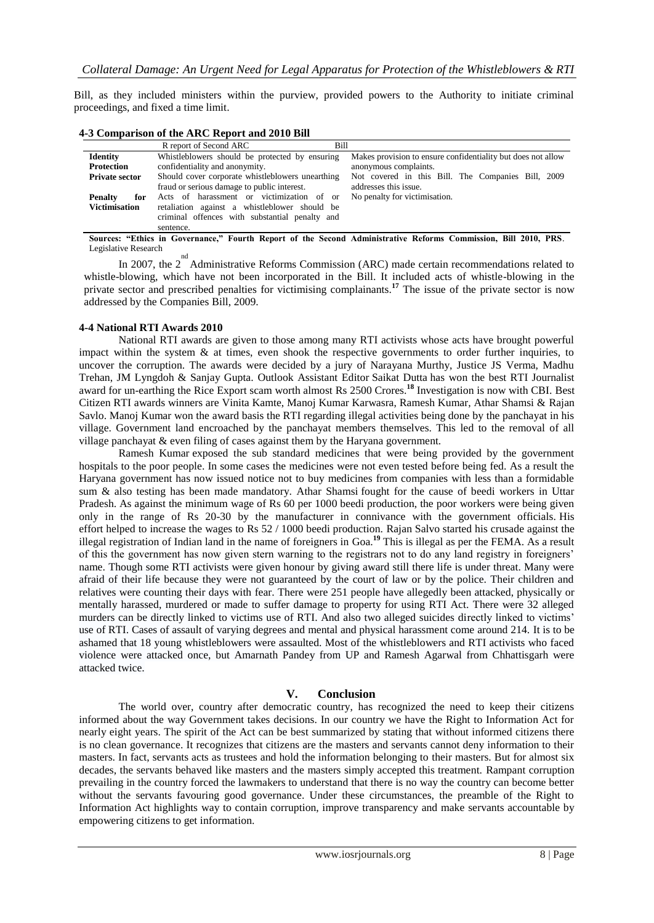Bill, as they included ministers within the purview, provided powers to the Authority to initiate criminal proceedings, and fixed a time limit.

| 4-3 Comparison of the ARC Report and 2010 Bill |                                                                                                                                                           |                                                                                       |  |
|------------------------------------------------|-----------------------------------------------------------------------------------------------------------------------------------------------------------|---------------------------------------------------------------------------------------|--|
|                                                | R report of Second ARC<br>Bill                                                                                                                            |                                                                                       |  |
| Identity<br>Protection                         | Whistleblowers should be protected by ensuring<br>confidentiality and anonymity.                                                                          | Makes provision to ensure confidentiality but does not allow<br>anonymous complaints. |  |
| <b>Private sector</b>                          | Should cover corporate whistleblowers unearthing<br>fraud or serious damage to public interest.                                                           | Not covered in this Bill. The Companies Bill, 2009<br>addresses this issue.           |  |
| <b>Penalty</b><br>for<br><b>Victimisation</b>  | Acts of harassment or victimization of or<br>retaliation against a whistleblower should be<br>criminal offences with substantial penalty and<br>sentence. | No penalty for victimisation.                                                         |  |

**Sources: "Ethics in Governance," Fourth Report of the Second Administrative Reforms Commission, Bill 2010, PRS**. Legislative Research

In 2007, the  $2^{nd}$  Administrative Reforms Commission (ARC) made certain recommendations related to whistle-blowing, which have not been incorporated in the Bill. It included acts of whistle-blowing in the private sector and prescribed penalties for victimising complainants.<sup>17</sup> The issue of the private sector is now addressed by the Companies Bill, 2009.

## **4-4 National RTI Awards 2010**

National RTI awards are given to those among many RTI activists whose acts have brought powerful impact within the system & at times, even shook the respective governments to order further inquiries, to uncover the corruption. The awards were decided by a jury of Narayana Murthy, Justice JS Verma, Madhu Trehan, JM Lyngdoh & Sanjay Gupta. Outlook Assistant Editor Saikat Dutta has won the best RTI Journalist award for un-earthing the Rice Export scam worth almost Rs 2500 Crores.**<sup>18</sup>** Investigation is now with CBI. Best Citizen RTI awards winners are Vinita Kamte, Manoj Kumar Karwasra, Ramesh Kumar, Athar Shamsi & Rajan Savlo. Manoj Kumar won the award basis the RTI regarding illegal activities being done by the panchayat in his village. Government land encroached by the panchayat members themselves. This led to the removal of all village panchayat & even filing of cases against them by the Haryana government.

Ramesh Kumar exposed the sub standard medicines that were being provided by the government hospitals to the poor people. In some cases the medicines were not even tested before being fed. As a result the Haryana government has now issued notice not to buy medicines from companies with less than a formidable sum & also testing has been made mandatory. Athar Shamsi fought for the cause of beedi workers in Uttar Pradesh. As against the minimum wage of Rs 60 per 1000 beedi production, the poor workers were being given only in the range of Rs 20-30 by the manufacturer in connivance with the government officials. His effort helped to increase the wages to Rs 52 / 1000 beedi production. Rajan Salvo started his crusade against the illegal registration of Indian land in the name of foreigners in Goa.**<sup>19</sup>** This is illegal as per the FEMA. As a result of this the government has now given stern warning to the registrars not to do any land registry in foreigners" name. Though some RTI activists were given honour by giving award still there life is under threat. Many were afraid of their life because they were not guaranteed by the court of law or by the police. Their children and relatives were counting their days with fear. There were 251 people have allegedly been attacked, physically or mentally harassed, murdered or made to suffer damage to property for using RTI Act. There were 32 alleged murders can be directly linked to victims use of RTI. And also two alleged suicides directly linked to victims" use of RTI. Cases of assault of varying degrees and mental and physical harassment come around 214. It is to be ashamed that 18 young whistleblowers were assaulted. Most of the whistleblowers and RTI activists who faced violence were attacked once, but Amarnath Pandey from UP and Ramesh Agarwal from Chhattisgarh were attacked twice.

## **V. Conclusion**

The world over, country after democratic country, has recognized the need to keep their citizens informed about the way Government takes decisions. In our country we have the Right to Information Act for nearly eight years. The spirit of the Act can be best summarized by stating that without informed citizens there is no clean governance. It recognizes that citizens are the masters and servants cannot deny information to their masters. In fact, servants acts as trustees and hold the information belonging to their masters. But for almost six decades, the servants behaved like masters and the masters simply accepted this treatment. Rampant corruption prevailing in the country forced the lawmakers to understand that there is no way the country can become better without the servants favouring good governance. Under these circumstances, the preamble of the Right to Information Act highlights way to contain corruption, improve transparency and make servants accountable by empowering citizens to get information.